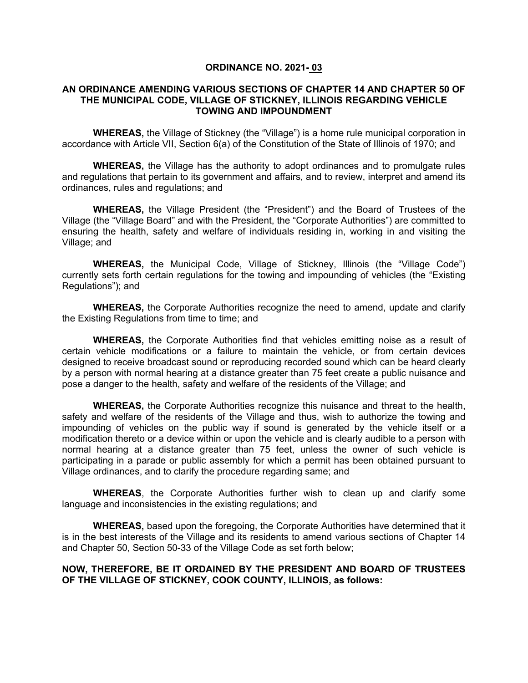### **ORDINANCE NO. 2021- 03**

### **AN ORDINANCE AMENDING VARIOUS SECTIONS OF CHAPTER 14 AND CHAPTER 50 OF THE MUNICIPAL CODE, VILLAGE OF STICKNEY, ILLINOIS REGARDING VEHICLE TOWING AND IMPOUNDMENT**

**WHEREAS,** the Village of Stickney (the "Village") is a home rule municipal corporation in accordance with Article VII, Section 6(a) of the Constitution of the State of Illinois of 1970; and

**WHEREAS,** the Village has the authority to adopt ordinances and to promulgate rules and regulations that pertain to its government and affairs, and to review, interpret and amend its ordinances, rules and regulations; and

**WHEREAS,** the Village President (the "President") and the Board of Trustees of the Village (the "Village Board" and with the President, the "Corporate Authorities") are committed to ensuring the health, safety and welfare of individuals residing in, working in and visiting the Village; and

**WHEREAS,** the Municipal Code, Village of Stickney, Illinois (the "Village Code") currently sets forth certain regulations for the towing and impounding of vehicles (the "Existing Regulations"); and

**WHEREAS,** the Corporate Authorities recognize the need to amend, update and clarify the Existing Regulations from time to time; and

**WHEREAS,** the Corporate Authorities find that vehicles emitting noise as a result of certain vehicle modifications or a failure to maintain the vehicle, or from certain devices designed to receive broadcast sound or reproducing recorded sound which can be heard clearly by a person with normal hearing at a distance greater than 75 feet create a public nuisance and pose a danger to the health, safety and welfare of the residents of the Village; and

**WHEREAS,** the Corporate Authorities recognize this nuisance and threat to the health, safety and welfare of the residents of the Village and thus, wish to authorize the towing and impounding of vehicles on the public way if sound is generated by the vehicle itself or a modification thereto or a device within or upon the vehicle and is clearly audible to a person with normal hearing at a distance greater than 75 feet, unless the owner of such vehicle is participating in a parade or public assembly for which a permit has been obtained pursuant to Village ordinances, and to clarify the procedure regarding same; and

**WHEREAS**, the Corporate Authorities further wish to clean up and clarify some language and inconsistencies in the existing regulations; and

**WHEREAS,** based upon the foregoing, the Corporate Authorities have determined that it is in the best interests of the Village and its residents to amend various sections of Chapter 14 and Chapter 50, Section 50-33 of the Village Code as set forth below;

## **NOW, THEREFORE, BE IT ORDAINED BY THE PRESIDENT AND BOARD OF TRUSTEES OF THE VILLAGE OF STICKNEY, COOK COUNTY, ILLINOIS, as follows:**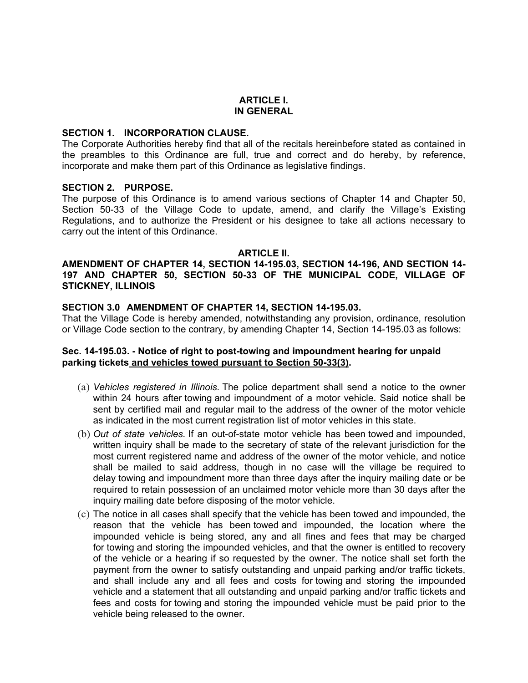#### **ARTICLE I. IN GENERAL**

### **SECTION 1. INCORPORATION CLAUSE.**

The Corporate Authorities hereby find that all of the recitals hereinbefore stated as contained in the preambles to this Ordinance are full, true and correct and do hereby, by reference, incorporate and make them part of this Ordinance as legislative findings.

### **SECTION 2. PURPOSE.**

The purpose of this Ordinance is to amend various sections of Chapter 14 and Chapter 50, Section 50-33 of the Village Code to update, amend, and clarify the Village's Existing Regulations, and to authorize the President or his designee to take all actions necessary to carry out the intent of this Ordinance.

### **ARTICLE II.**

### **AMENDMENT OF CHAPTER 14, SECTION 14-195.03, SECTION 14-196, AND SECTION 14- 197 AND CHAPTER 50, SECTION 50-33 OF THE MUNICIPAL CODE, VILLAGE OF STICKNEY, ILLINOIS**

#### **SECTION 3.0 AMENDMENT OF CHAPTER 14, SECTION 14-195.03.**

That the Village Code is hereby amended, notwithstanding any provision, ordinance, resolution or Village Code section to the contrary, by amending Chapter 14, Section 14-195.03 as follows:

## **Sec. 14-195.03. - Notice of right to post-towing and impoundment hearing for unpaid parking tickets and vehicles towed pursuant to Section 50-33(3).**

- (a) *Vehicles registered in Illinois.* The police department shall send a notice to the owner within 24 hours after towing and impoundment of a motor vehicle. Said notice shall be sent by certified mail and regular mail to the address of the owner of the motor vehicle as indicated in the most current registration list of motor vehicles in this state.
- (b) *Out of state vehicles.* If an out-of-state motor vehicle has been towed and impounded, written inquiry shall be made to the secretary of state of the relevant jurisdiction for the most current registered name and address of the owner of the motor vehicle, and notice shall be mailed to said address, though in no case will the village be required to delay towing and impoundment more than three days after the inquiry mailing date or be required to retain possession of an unclaimed motor vehicle more than 30 days after the inquiry mailing date before disposing of the motor vehicle.
- (c) The notice in all cases shall specify that the vehicle has been towed and impounded, the reason that the vehicle has been towed and impounded, the location where the impounded vehicle is being stored, any and all fines and fees that may be charged for towing and storing the impounded vehicles, and that the owner is entitled to recovery of the vehicle or a hearing if so requested by the owner. The notice shall set forth the payment from the owner to satisfy outstanding and unpaid parking and/or traffic tickets, and shall include any and all fees and costs for towing and storing the impounded vehicle and a statement that all outstanding and unpaid parking and/or traffic tickets and fees and costs for towing and storing the impounded vehicle must be paid prior to the vehicle being released to the owner.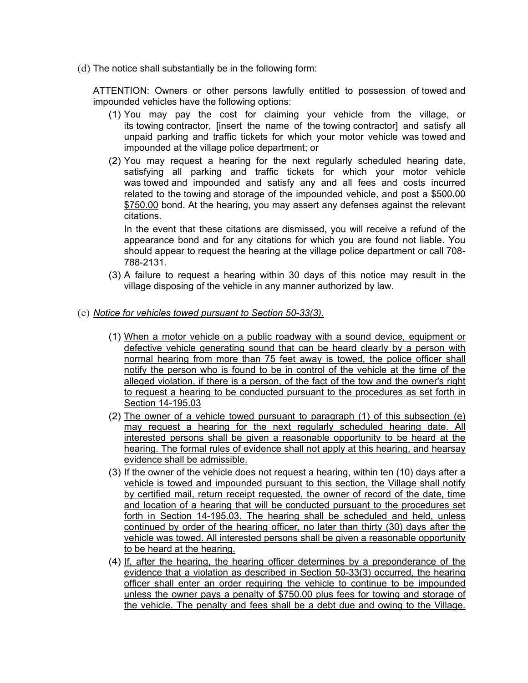(d) The notice shall substantially be in the following form:

ATTENTION: Owners or other persons lawfully entitled to possession of towed and impounded vehicles have the following options:

- (1) You may pay the cost for claiming your vehicle from the village, or its towing contractor, [insert the name of the towing contractor] and satisfy all unpaid parking and traffic tickets for which your motor vehicle was towed and impounded at the village police department; or
- (2) You may request a hearing for the next regularly scheduled hearing date, satisfying all parking and traffic tickets for which your motor vehicle was towed and impounded and satisfy any and all fees and costs incurred related to the towing and storage of the impounded vehicle, and post a \$500.00 \$750.00 bond. At the hearing, you may assert any defenses against the relevant citations.

In the event that these citations are dismissed, you will receive a refund of the appearance bond and for any citations for which you are found not liable. You should appear to request the hearing at the village police department or call 708- 788-2131.

- (3) A failure to request a hearing within 30 days of this notice may result in the village disposing of the vehicle in any manner authorized by law.
- (e) *Notice for vehicles towed pursuant to Section 50-33(3).*
	- (1) When a motor vehicle on a public roadway with a sound device, equipment or defective vehicle generating sound that can be heard clearly by a person with normal hearing from more than 75 feet away is towed, the police officer shall notify the person who is found to be in control of the vehicle at the time of the alleged violation, if there is a person, of the fact of the tow and the owner's right to request a hearing to be conducted pursuant to the procedures as set forth in Section 14-195.03
	- (2) The owner of a vehicle towed pursuant to paragraph  $(1)$  of this subsection  $(e)$  may request a hearing for the next requilarly scheduled hearing date. All may request a hearing for the next regularly scheduled hearing date. interested persons shall be given a reasonable opportunity to be heard at the hearing. The formal rules of evidence shall not apply at this hearing, and hearsay evidence shall be admissible.
	- (3) If the owner of the vehicle does not request a hearing, within ten (10) days after a vehicle is towed and impounded pursuant to this section, the Village shall notify by certified mail, return receipt requested, the owner of record of the date, time and location of a hearing that will be conducted pursuant to the procedures set forth in Section 14-195.03. The hearing shall be scheduled and held, unless continued by order of the hearing officer, no later than thirty (30) days after the vehicle was towed. All interested persons shall be given a reasonable opportunity to be heard at the hearing.
	- (4) If, after the hearing, the hearing officer determines by a preponderance of the evidence that a violation as described in Section 50-33(3) occurred, the hearing officer shall enter an order requiring the vehicle to continue to be impounded unless the owner pays a penalty of \$750.00 plus fees for towing and storage of the vehicle. The penalty and fees shall be a debt due and owing to the Village.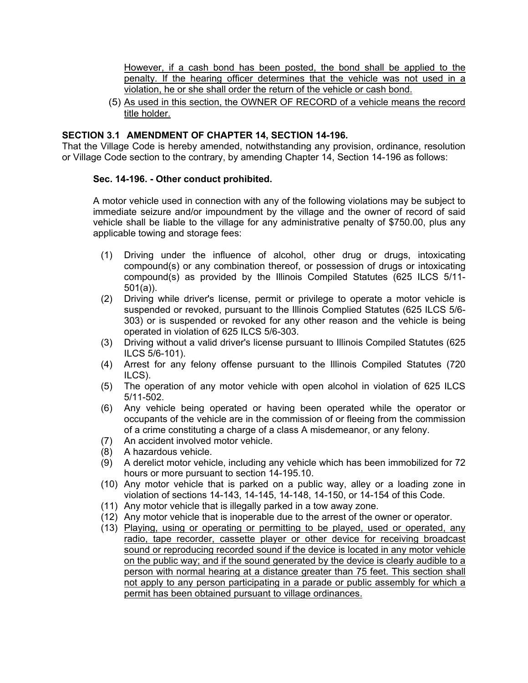However, if a cash bond has been posted, the bond shall be applied to the penalty. If the hearing officer determines that the vehicle was not used in a violation, he or she shall order the return of the vehicle or cash bond.

(5) As used in this section, the OWNER OF RECORD of a vehicle means the record title holder.

# **SECTION 3.1 AMENDMENT OF CHAPTER 14, SECTION 14-196.**

That the Village Code is hereby amended, notwithstanding any provision, ordinance, resolution or Village Code section to the contrary, by amending Chapter 14, Section 14-196 as follows:

### **Sec. 14-196. - Other conduct prohibited.**

A motor vehicle used in connection with any of the following violations may be subject to immediate seizure and/or impoundment by the village and the owner of record of said vehicle shall be liable to the village for any administrative penalty of \$750.00, plus any applicable towing and storage fees:

- (1) Driving under the influence of alcohol, other drug or drugs, intoxicating compound(s) or any combination thereof, or possession of drugs or intoxicating compound(s) as provided by the Illinois Compiled Statutes (625 ILCS 5/11- 501(a)).
- (2) Driving while driver's license, permit or privilege to operate a motor vehicle is suspended or revoked, pursuant to the Illinois Complied Statutes (625 ILCS 5/6- 303) or is suspended or revoked for any other reason and the vehicle is being operated in violation of 625 ILCS 5/6-303.
- (3) Driving without a valid driver's license pursuant to Illinois Compiled Statutes (625 ILCS 5/6-101).
- (4) Arrest for any felony offense pursuant to the Illinois Compiled Statutes (720 ILCS).
- (5) The operation of any motor vehicle with open alcohol in violation of 625 ILCS 5/11-502.
- (6) Any vehicle being operated or having been operated while the operator or occupants of the vehicle are in the commission of or fleeing from the commission of a crime constituting a charge of a class A misdemeanor, or any felony.
- (7) An accident involved motor vehicle.
- (8) A hazardous vehicle.
- (9) A derelict motor vehicle, including any vehicle which has been immobilized for 72 hours or more pursuant to section 14-195.10.
- (10) Any motor vehicle that is parked on a public way, alley or a loading zone in violation of sections 14-143, 14-145, 14-148, 14-150, or 14-154 of this Code.
- (11) Any motor vehicle that is illegally parked in a tow away zone.
- (12) Any motor vehicle that is inoperable due to the arrest of the owner or operator.
- (13) Playing, using or operating or permitting to be played, used or operated, any radio, tape recorder, cassette player or other device for receiving broadcast sound or reproducing recorded sound if the device is located in any motor vehicle on the public way; and if the sound generated by the device is clearly audible to a person with normal hearing at a distance greater than 75 feet. This section shall not apply to any person participating in a parade or public assembly for which a permit has been obtained pursuant to village ordinances.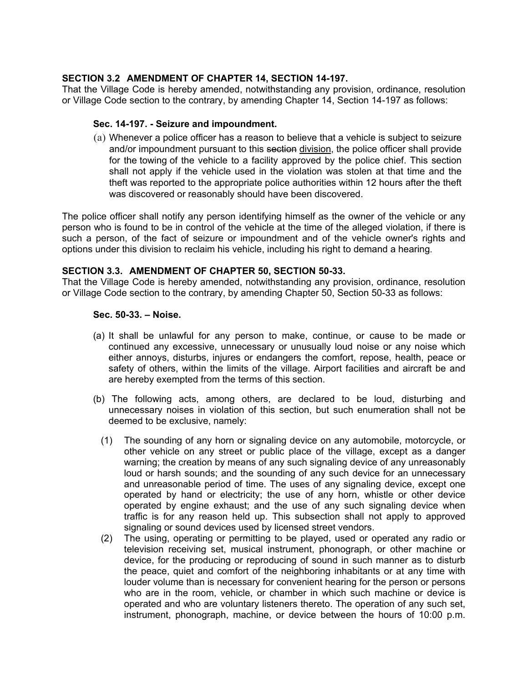# **SECTION 3.2 AMENDMENT OF CHAPTER 14, SECTION 14-197.**

That the Village Code is hereby amended, notwithstanding any provision, ordinance, resolution or Village Code section to the contrary, by amending Chapter 14, Section 14-197 as follows:

### **Sec. 14-197. - Seizure and impoundment.**

(a) Whenever a police officer has a reason to believe that a vehicle is subject to seizure and/or impoundment pursuant to this section division, the police officer shall provide for the towing of the vehicle to a facility approved by the police chief. This section shall not apply if the vehicle used in the violation was stolen at that time and the theft was reported to the appropriate police authorities within 12 hours after the theft was discovered or reasonably should have been discovered.

The police officer shall notify any person identifying himself as the owner of the vehicle or any person who is found to be in control of the vehicle at the time of the alleged violation, if there is such a person, of the fact of seizure or impoundment and of the vehicle owner's rights and options under this division to reclaim his vehicle, including his right to demand a hearing.

## **SECTION 3.3. AMENDMENT OF CHAPTER 50, SECTION 50-33.**

That the Village Code is hereby amended, notwithstanding any provision, ordinance, resolution or Village Code section to the contrary, by amending Chapter 50, Section 50-33 as follows:

### **Sec. 50-33. – Noise.**

- (a) It shall be unlawful for any person to make, continue, or cause to be made or continued any excessive, unnecessary or unusually loud noise or any noise which either annoys, disturbs, injures or endangers the comfort, repose, health, peace or safety of others, within the limits of the village. Airport facilities and aircraft be and are hereby exempted from the terms of this section.
- (b) The following acts, among others, are declared to be loud, disturbing and unnecessary noises in violation of this section, but such enumeration shall not be deemed to be exclusive, namely:
	- (1) The sounding of any horn or signaling device on any automobile, motorcycle, or other vehicle on any street or public place of the village, except as a danger warning; the creation by means of any such signaling device of any unreasonably loud or harsh sounds; and the sounding of any such device for an unnecessary and unreasonable period of time. The uses of any signaling device, except one operated by hand or electricity; the use of any horn, whistle or other device operated by engine exhaust; and the use of any such signaling device when traffic is for any reason held up. This subsection shall not apply to approved signaling or sound devices used by licensed street vendors.
	- (2) The using, operating or permitting to be played, used or operated any radio or television receiving set, musical instrument, phonograph, or other machine or device, for the producing or reproducing of sound in such manner as to disturb the peace, quiet and comfort of the neighboring inhabitants or at any time with louder volume than is necessary for convenient hearing for the person or persons who are in the room, vehicle, or chamber in which such machine or device is operated and who are voluntary listeners thereto. The operation of any such set, instrument, phonograph, machine, or device between the hours of 10:00 p.m.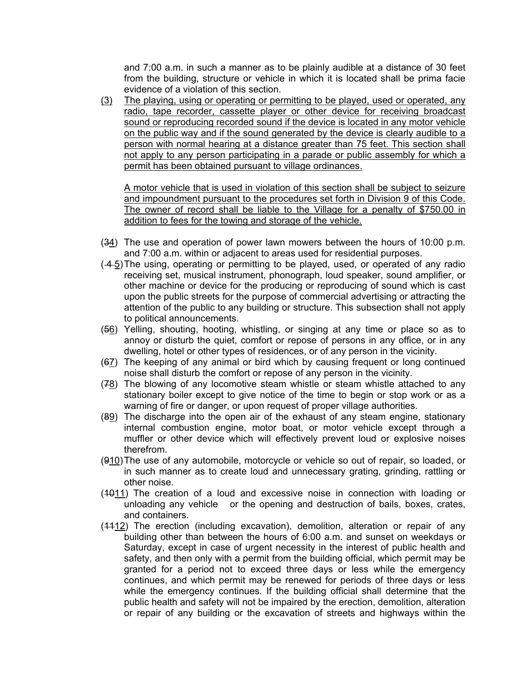and 7:00 a.m. in such a manner as to be plainly audible at a distance of 30 feet from the building, structure or vehicle in which it is located shall be prima facie evidence of a violation of this section.

(3) The playing, using or operating or permitting to be played, used or operated, any radio, tape recorder, cassette player or other device for receiving broadcast sound or reproducing recorded sound if the device is located in any motor vehicle on the public way and if the sound generated by the device is clearly audible to a person with normal hearing at a distance greater than 75 feet. This section shall not apply to any person participating in a parade or public assembly for which a permit has been obtained pursuant to village ordinances.

A motor vehicle that is used in violation of this section shall be subject to seizure and impoundment pursuant to the procedures set forth in Division 9 of this Code. The owner of record shall be liable to the Village for a penalty of \$750.00 in addition to fees for the towing and storage of the vehicle.

- (34) The use and operation of power lawn mowers between the hours of 10:00 p.m. and 7:00 a.m. within or adjacent to areas used for residential purposes.
- ( 4 5)The using, operating or permitting to be played, used, or operated of any radio receiving set, musical instrument, phonograph, loud speaker, sound amplifier, or other machine or device for the producing or reproducing of sound which is cast upon the public streets for the purpose of commercial advertising or attracting the attention of the public to any building or structure. This subsection shall not apply to political announcements.
- (56) Yelling, shouting, hooting, whistling, or singing at any time or place so as to annoy or disturb the quiet, comfort or repose of persons in any office, or in any dwelling, hotel or other types of residences, or of any person in the vicinity.
- (67) The keeping of any animal or bird which by causing frequent or long continued noise shall disturb the comfort or repose of any person in the vicinity.
- (78) The blowing of any locomotive steam whistle or steam whistle attached to any stationary boiler except to give notice of the time to begin or stop work or as a warning of fire or danger, or upon request of proper village authorities.
- (89) The discharge into the open air of the exhaust of any steam engine, stationary internal combustion engine, motor boat, or motor vehicle except through a muffler or other device which will effectively prevent loud or explosive noises therefrom.
- (910)The use of any automobile, motorcycle or vehicle so out of repair, so loaded, or in such manner as to create loud and unnecessary grating, grinding, rattling or other noise.
- (1011) The creation of a loud and excessive noise in connection with loading or unloading any vehicle or the opening and destruction of bails, boxes, crates, and containers.
- $(4412)$  The erection (including excavation), demolition, alteration or repair of any building other than between the hours of 6:00 a.m. and sunset on weekdays or Saturday, except in case of urgent necessity in the interest of public health and safety, and then only with a permit from the building official, which permit may be granted for a period not to exceed three days or less while the emergency continues, and which permit may be renewed for periods of three days or less while the emergency continues. If the building official shall determine that the public health and safety will not be impaired by the erection, demolition, alteration or repair of any building or the excavation of streets and highways within the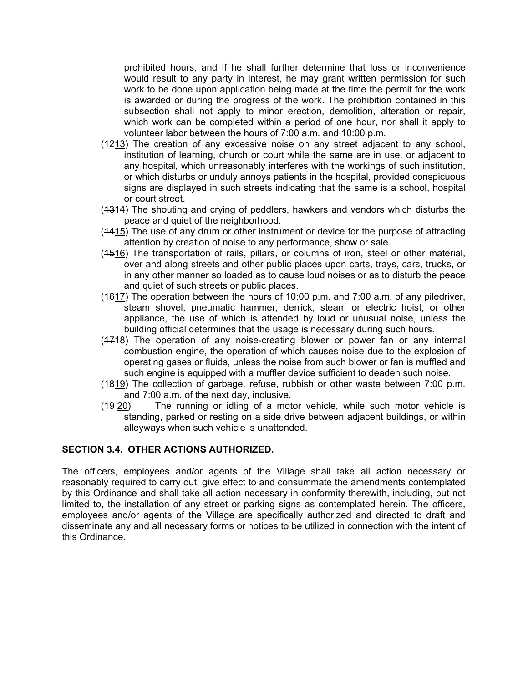prohibited hours, and if he shall further determine that loss or inconvenience would result to any party in interest, he may grant written permission for such work to be done upon application being made at the time the permit for the work is awarded or during the progress of the work. The prohibition contained in this subsection shall not apply to minor erection, demolition, alteration or repair, which work can be completed within a period of one hour, nor shall it apply to volunteer labor between the hours of 7:00 a.m. and 10:00 p.m.

- (1213) The creation of any excessive noise on any street adjacent to any school, institution of learning, church or court while the same are in use, or adjacent to any hospital, which unreasonably interferes with the workings of such institution, or which disturbs or unduly annoys patients in the hospital, provided conspicuous signs are displayed in such streets indicating that the same is a school, hospital or court street.
- (1314) The shouting and crying of peddlers, hawkers and vendors which disturbs the peace and quiet of the neighborhood.
- (1415) The use of any drum or other instrument or device for the purpose of attracting attention by creation of noise to any performance, show or sale.
- (1516) The transportation of rails, pillars, or columns of iron, steel or other material, over and along streets and other public places upon carts, trays, cars, trucks, or in any other manner so loaded as to cause loud noises or as to disturb the peace and quiet of such streets or public places.
- $(4617)$  The operation between the hours of 10:00 p.m. and 7:00 a.m. of any piledriver, steam shovel, pneumatic hammer, derrick, steam or electric hoist, or other appliance, the use of which is attended by loud or unusual noise, unless the building official determines that the usage is necessary during such hours.
- $(4718)$  The operation of any noise-creating blower or power fan or any internal combustion engine, the operation of which causes noise due to the explosion of operating gases or fluids, unless the noise from such blower or fan is muffled and such engine is equipped with a muffler device sufficient to deaden such noise.
- (1819) The collection of garbage, refuse, rubbish or other waste between 7:00 p.m. and 7:00 a.m. of the next day, inclusive.
- (19 20) The running or idling of a motor vehicle, while such motor vehicle is standing, parked or resting on a side drive between adjacent buildings, or within alleyways when such vehicle is unattended.

### **SECTION 3.4. OTHER ACTIONS AUTHORIZED.**

The officers, employees and/or agents of the Village shall take all action necessary or reasonably required to carry out, give effect to and consummate the amendments contemplated by this Ordinance and shall take all action necessary in conformity therewith, including, but not limited to, the installation of any street or parking signs as contemplated herein. The officers, employees and/or agents of the Village are specifically authorized and directed to draft and disseminate any and all necessary forms or notices to be utilized in connection with the intent of this Ordinance.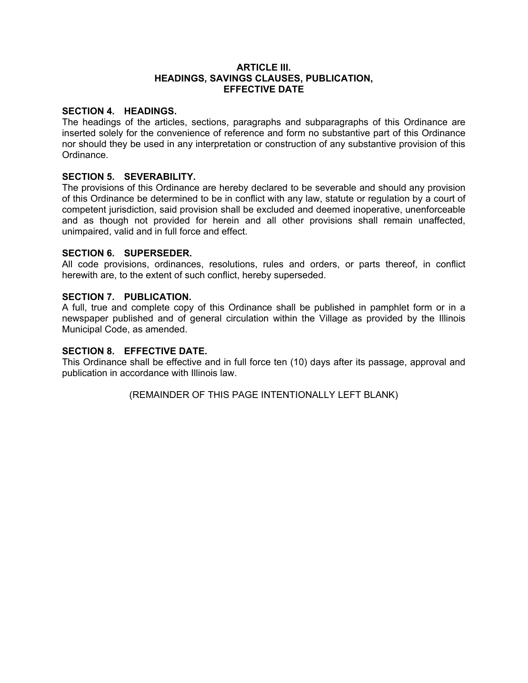### **ARTICLE III. HEADINGS, SAVINGS CLAUSES, PUBLICATION, EFFECTIVE DATE**

### **SECTION 4. HEADINGS.**

The headings of the articles, sections, paragraphs and subparagraphs of this Ordinance are inserted solely for the convenience of reference and form no substantive part of this Ordinance nor should they be used in any interpretation or construction of any substantive provision of this Ordinance.

## **SECTION 5. SEVERABILITY.**

The provisions of this Ordinance are hereby declared to be severable and should any provision of this Ordinance be determined to be in conflict with any law, statute or regulation by a court of competent jurisdiction, said provision shall be excluded and deemed inoperative, unenforceable and as though not provided for herein and all other provisions shall remain unaffected, unimpaired, valid and in full force and effect.

## **SECTION 6. SUPERSEDER.**

All code provisions, ordinances, resolutions, rules and orders, or parts thereof, in conflict herewith are, to the extent of such conflict, hereby superseded.

## **SECTION 7. PUBLICATION.**

A full, true and complete copy of this Ordinance shall be published in pamphlet form or in a newspaper published and of general circulation within the Village as provided by the Illinois Municipal Code, as amended.

### **SECTION 8. EFFECTIVE DATE.**

This Ordinance shall be effective and in full force ten (10) days after its passage, approval and publication in accordance with Illinois law.

(REMAINDER OF THIS PAGE INTENTIONALLY LEFT BLANK)